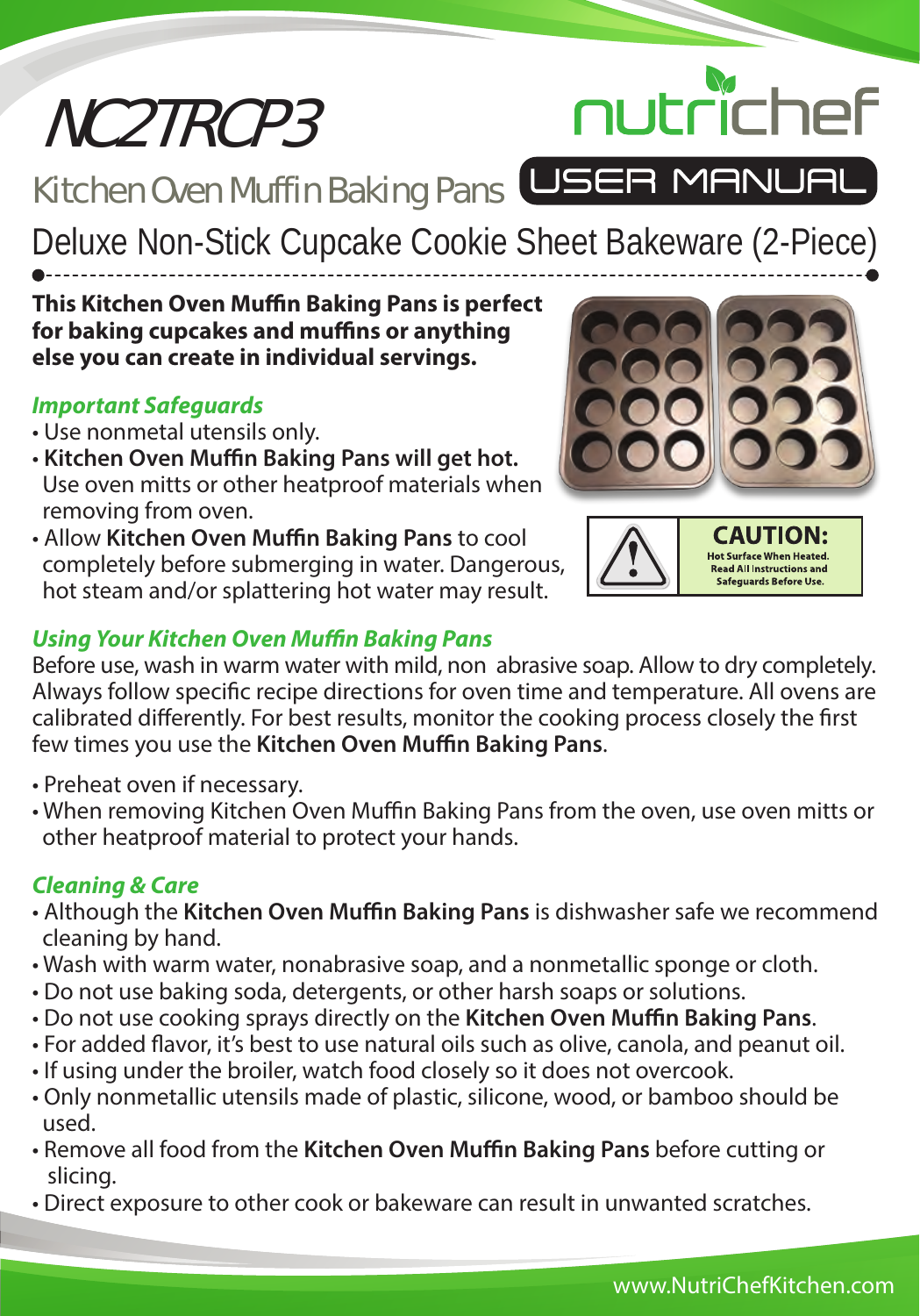# NC2TRCP3

Kitchen Oven Muffin Baking Pans USER MANUAL

Deluxe Non-Stick Cupcake Cookie Sheet Bakeware (2-Piece)

## **This Kitchen Oven Muffin Baking Pans is perfect for baking cupcakes and muffins or anything else you can create in individual servings.**

# *Important Safeguards*

- Use nonmetal utensils only.
- Kitchen Oven Muffin Baking Pans will get hot. Use oven mitts or other heatproof materials when removing from oven.
- Allow Kitchen Oven Muffin Baking Pans to cool completely before submerging in water. Dangerous, hot steam and/or splattering hot water may result.



nutrichef

# *Using Your Kitchen Oven Muffin Baking Pans*

Before use, wash in warm water with mild, non abrasive soap. Allow to dry completely. Always follow specific recipe directions for oven time and temperature. All ovens are calibrated differently. For best results, monitor the cooking process closely the first few times you use the **Kitchen Oven Muffin Baking Pans.** 

- Preheat oven if necessary.
- When removing Kitchen Oven Muffin Baking Pans from the oven, use oven mitts or other heatproof material to protect your hands.

## *Cleaning & Care*

- Although the Kitchen Oven Muffin Baking Pans is dishwasher safe we recommend cleaning by hand.
- Wash with warm water, nonabrasive soap, and a nonmetallic sponge or cloth.
- Do not use baking soda, detergents, or other harsh soaps or solutions.
- Do not use cooking sprays directly on the Kitchen Oven Muffin Baking Pans.
- For added flavor, it's best to use natural oils such as olive, canola, and peanut oil.
- If using under the broiler, watch food closely so it does not overcook.
- Only nonmetallic utensils made of plastic, silicone, wood, or bamboo should be used.
- Remove all food from the **Kitchen Oven Muffin Baking Pans** before cutting or slicing.
- Direct exposure to other cook or bakeware can result in unwanted scratches.